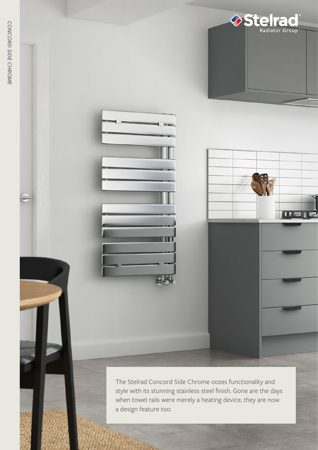

CONCORD SIDE CHROME *CONCORD SIDE CHROME*